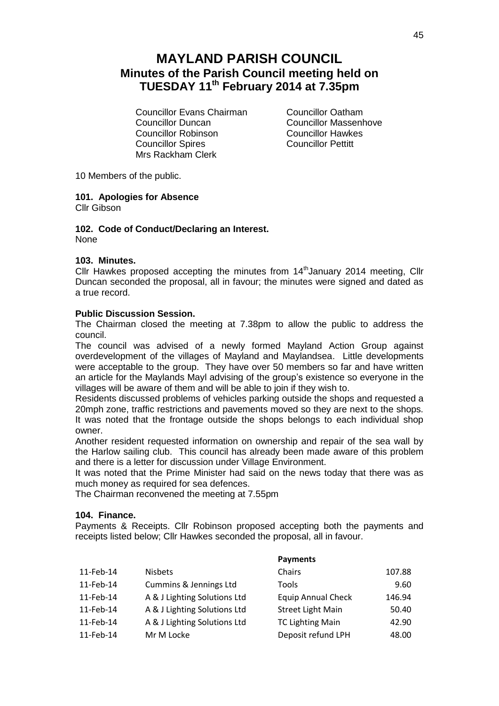# **MAYLAND PARISH COUNCIL Minutes of the Parish Council meeting held on TUESDAY 11th February 2014 at 7.35pm**

Councillor Evans Chairman Councillor Oatham Councillor Duncan<br>
Councillor Robinson<br>
Councillor Hawkes Councillor Robinson Councillor Spires Councillor Pettitt Mrs Rackham Clerk

10 Members of the public.

# **101. Apologies for Absence**

Cllr Gibson

#### **102. Code of Conduct/Declaring an Interest.** None

# **103. Minutes.**

Cllr Hawkes proposed accepting the minutes from 14<sup>th</sup> January 2014 meeting, Cllr Duncan seconded the proposal, all in favour; the minutes were signed and dated as a true record.

## **Public Discussion Session.**

The Chairman closed the meeting at 7.38pm to allow the public to address the council.

The council was advised of a newly formed Mayland Action Group against overdevelopment of the villages of Mayland and Maylandsea. Little developments were acceptable to the group. They have over 50 members so far and have written an article for the Maylands Mayl advising of the group's existence so everyone in the villages will be aware of them and will be able to join if they wish to.

Residents discussed problems of vehicles parking outside the shops and requested a 20mph zone, traffic restrictions and pavements moved so they are next to the shops. It was noted that the frontage outside the shops belongs to each individual shop owner.

Another resident requested information on ownership and repair of the sea wall by the Harlow sailing club. This council has already been made aware of this problem and there is a letter for discussion under Village Environment.

It was noted that the Prime Minister had said on the news today that there was as much money as required for sea defences.

The Chairman reconvened the meeting at 7.55pm

## **104. Finance.**

Payments & Receipts. Cllr Robinson proposed accepting both the payments and receipts listed below; Cllr Hawkes seconded the proposal, all in favour.

|           |                              | <b>Payments</b>           |        |
|-----------|------------------------------|---------------------------|--------|
| 11-Feb-14 | <b>Nisbets</b>               | Chairs                    | 107.88 |
| 11-Feb-14 | Cummins & Jennings Ltd       | Tools                     | 9.60   |
| 11-Feb-14 | A & J Lighting Solutions Ltd | <b>Equip Annual Check</b> | 146.94 |
| 11-Feb-14 | A & J Lighting Solutions Ltd | <b>Street Light Main</b>  | 50.40  |
| 11-Feb-14 | A & J Lighting Solutions Ltd | <b>TC Lighting Main</b>   | 42.90  |
| 11-Feb-14 | Mr M Locke                   | Deposit refund LPH        | 48.00  |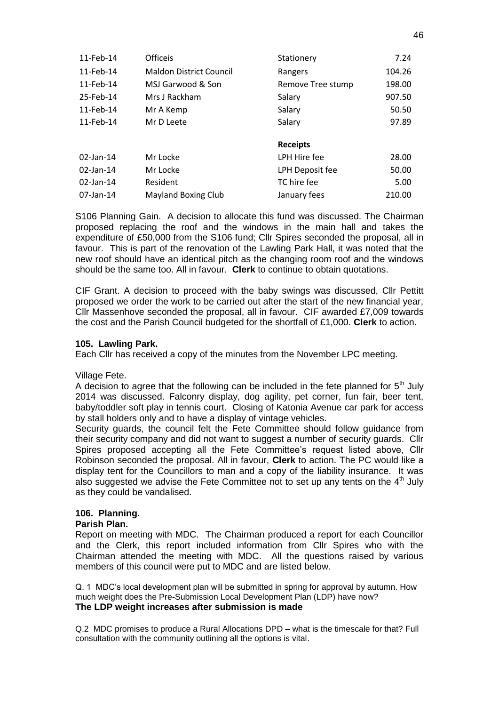| 11-Feb-14    | <b>Officeis</b>                | Stationery        | 7.24   |
|--------------|--------------------------------|-------------------|--------|
| 11-Feb-14    | <b>Maldon District Council</b> | Rangers           | 104.26 |
| 11-Feb-14    | MSJ Garwood & Son              | Remove Tree stump | 198.00 |
| 25-Feb-14    | Mrs J Rackham                  | Salary            | 907.50 |
| 11-Feb-14    | Mr A Kemp                      | Salary            | 50.50  |
| 11-Feb-14    | Mr D Leete                     | Salary            | 97.89  |
|              |                                |                   |        |
|              |                                | <b>Receipts</b>   |        |
| $02$ -Jan-14 | Mr Locke                       | LPH Hire fee      | 28.00  |
| $02$ -Jan-14 | Mr Locke                       | LPH Deposit fee   | 50.00  |
| $02$ -Jan-14 | Resident                       | TC hire fee       | 5.00   |
| $07$ -Jan-14 | <b>Mayland Boxing Club</b>     | January fees      | 210.00 |

S106 Planning Gain. A decision to allocate this fund was discussed. The Chairman proposed replacing the roof and the windows in the main hall and takes the expenditure of £50,000 from the S106 fund: Cllr Spires seconded the proposal, all in favour. This is part of the renovation of the Lawling Park Hall, it was noted that the new roof should have an identical pitch as the changing room roof and the windows should be the same too. All in favour. **Clerk** to continue to obtain quotations.

CIF Grant. A decision to proceed with the baby swings was discussed, Cllr Pettitt proposed we order the work to be carried out after the start of the new financial year, Cllr Massenhove seconded the proposal, all in favour. CIF awarded £7,009 towards the cost and the Parish Council budgeted for the shortfall of £1,000. **Clerk** to action.

## **105. Lawling Park.**

Each Cllr has received a copy of the minutes from the November LPC meeting.

## Village Fete.

A decision to agree that the following can be included in the fete planned for  $5<sup>th</sup>$  July 2014 was discussed. Falconry display, dog agility, pet corner, fun fair, beer tent, baby/toddler soft play in tennis court. Closing of Katonia Avenue car park for access by stall holders only and to have a display of vintage vehicles.

Security guards, the council felt the Fete Committee should follow guidance from their security company and did not want to suggest a number of security guards. Cllr Spires proposed accepting all the Fete Committee's request listed above, Cllr Robinson seconded the proposal. All in favour, **Clerk** to action. The PC would like a display tent for the Councillors to man and a copy of the liability insurance. It was also suggested we advise the Fete Committee not to set up any tents on the  $4<sup>th</sup>$  July as they could be vandalised.

# **106. Planning.**

## **Parish Plan.**

Report on meeting with MDC. The Chairman produced a report for each Councillor and the Clerk, this report included information from Cllr Spires who with the Chairman attended the meeting with MDC. All the questions raised by various members of this council were put to MDC and are listed below.

Q. 1 MDC's local development plan will be submitted in spring for approval by autumn. How much weight does the Pre-Submission Local Development Plan (LDP) have now? **The LDP weight increases after submission is made**

Q.2 MDC promises to produce a Rural Allocations DPD – what is the timescale for that? Full consultation with the community outlining all the options is vital.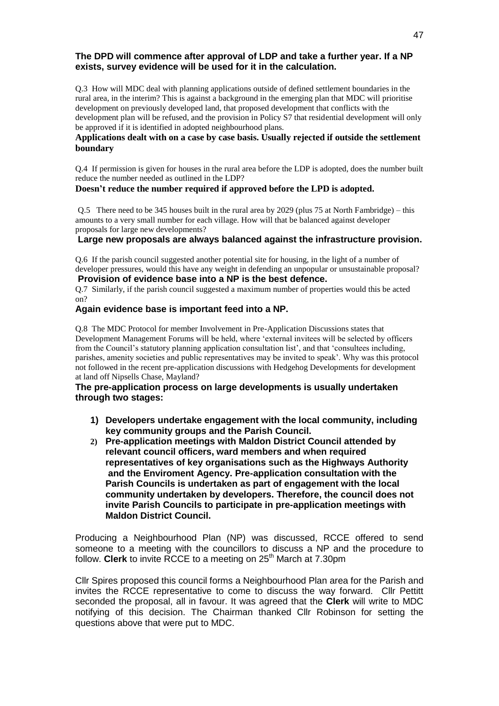## **The DPD will commence after approval of LDP and take a further year. If a NP exists, survey evidence will be used for it in the calculation.**

Q.3 How will MDC deal with planning applications outside of defined settlement boundaries in the rural area, in the interim? This is against a background in the emerging plan that MDC will prioritise development on previously developed land, that proposed development that conflicts with the development plan will be refused, and the provision in Policy S7 that residential development will only be approved if it is identified in adopted neighbourhood plans.

#### **Applications dealt with on a case by case basis. Usually rejected if outside the settlement boundary**

Q.4 If permission is given for houses in the rural area before the LDP is adopted, does the number built reduce the number needed as outlined in the LDP?

#### **Doesn't reduce the number required if approved before the LPD is adopted.**

Q.5 There need to be 345 houses built in the rural area by 2029 (plus 75 at North Fambridge) – this amounts to a very small number for each village. How will that be balanced against developer proposals for large new developments?

#### **Large new proposals are always balanced against the infrastructure provision.**

Q.6 If the parish council suggested another potential site for housing, in the light of a number of developer pressures, would this have any weight in defending an unpopular or unsustainable proposal? **Provision of evidence base into a NP is the best defence.**

Q.7 Similarly, if the parish council suggested a maximum number of properties would this be acted on?

#### **Again evidence base is important feed into a NP.**

Q.8 The MDC Protocol for member Involvement in Pre-Application Discussions states that Development Management Forums will be held, where 'external invitees will be selected by officers from the Council's statutory planning application consultation list', and that 'consultees including, parishes, amenity societies and public representatives may be invited to speak'. Why was this protocol not followed in the recent pre-application discussions with Hedgehog Developments for development at land off Nipsells Chase, Mayland?

## **The pre-application process on large developments is usually undertaken through two stages:**

- **1) Developers undertake engagement with the local community, including key community groups and the Parish Council.**
- **2) Pre-application meetings with Maldon District Council attended by relevant council officers, ward members and when required representatives of key organisations such as the Highways Authority and the Enviroment Agency. Pre-application consultation with the Parish Councils is undertaken as part of engagement with the local community undertaken by developers. Therefore, the council does not invite Parish Councils to participate in pre-application meetings with Maldon District Council.**

Producing a Neighbourhood Plan (NP) was discussed, RCCE offered to send someone to a meeting with the councillors to discuss a NP and the procedure to follow. **Clerk** to invite RCCE to a meeting on 25<sup>th</sup> March at 7.30pm

Cllr Spires proposed this council forms a Neighbourhood Plan area for the Parish and invites the RCCE representative to come to discuss the way forward. Cllr Pettitt seconded the proposal, all in favour. It was agreed that the **Clerk** will write to MDC notifying of this decision. The Chairman thanked Cllr Robinson for setting the questions above that were put to MDC.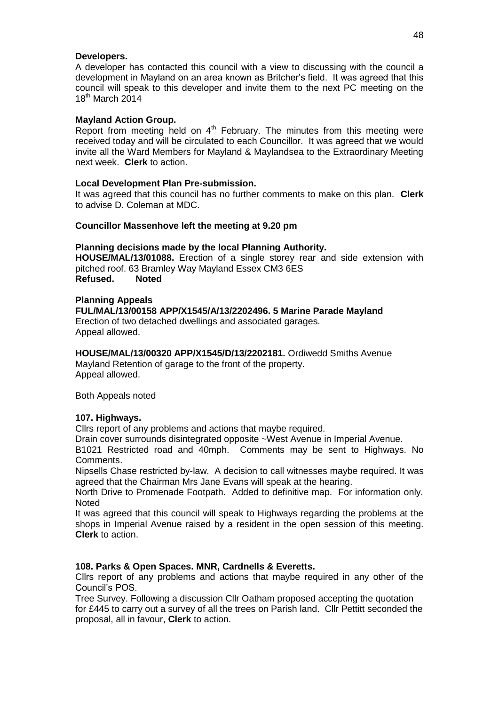## **Developers.**

A developer has contacted this council with a view to discussing with the council a development in Mayland on an area known as Britcher's field. It was agreed that this council will speak to this developer and invite them to the next PC meeting on the 18<sup>th</sup> March 2014

## **Mayland Action Group.**

Report from meeting held on  $4<sup>th</sup>$  February. The minutes from this meeting were received today and will be circulated to each Councillor. It was agreed that we would invite all the Ward Members for Mayland & Maylandsea to the Extraordinary Meeting next week. **Clerk** to action.

# **Local Development Plan Pre-submission.**

It was agreed that this council has no further comments to make on this plan. **Clerk**  to advise D. Coleman at MDC.

## **Councillor Massenhove left the meeting at 9.20 pm**

## **Planning decisions made by the local Planning Authority.**

**HOUSE/MAL/13/01088.** Erection of a single storey rear and side extension with pitched roof. 63 Bramley Way Mayland Essex CM3 6ES **Refused. Noted**

## **Planning Appeals**

**FUL/MAL/13/00158 APP/X1545/A/13/2202496. 5 Marine Parade Mayland**

Erection of two detached dwellings and associated garages. Appeal allowed.

# **HOUSE/MAL/13/00320 APP/X1545/D/13/2202181.** Ordiwedd Smiths Avenue

Mayland Retention of garage to the front of the property. Appeal allowed.

Both Appeals noted

# **107. Highways.**

Cllrs report of any problems and actions that maybe required.

Drain cover surrounds disintegrated opposite ~West Avenue in Imperial Avenue.

B1021 Restricted road and 40mph. Comments may be sent to Highways. No Comments.

Nipsells Chase restricted by-law. A decision to call witnesses maybe required. It was agreed that the Chairman Mrs Jane Evans will speak at the hearing.

North Drive to Promenade Footpath. Added to definitive map. For information only. **Noted** 

It was agreed that this council will speak to Highways regarding the problems at the shops in Imperial Avenue raised by a resident in the open session of this meeting. **Clerk** to action.

# **108. Parks & Open Spaces. MNR, Cardnells & Everetts.**

Cllrs report of any problems and actions that maybe required in any other of the Council's POS.

Tree Survey. Following a discussion Cllr Oatham proposed accepting the quotation for £445 to carry out a survey of all the trees on Parish land. Cllr Pettitt seconded the proposal, all in favour, **Clerk** to action.